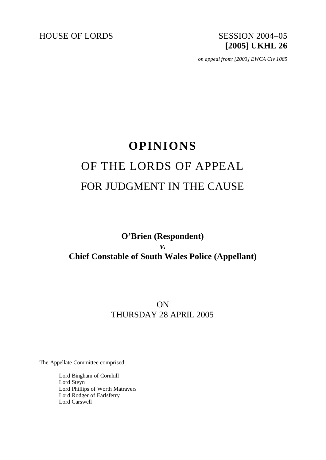HOUSE OF LORDS SESSION 2004-05

# **[2005] UKHL 26**

*on appeal from: [2003] EWCA Civ 1085*

## **OPINIONS** OF THE LORDS OF APPEAL FOR JUDGMENT IN THE CAUSE

## **O'Brien (Respondent)** *v.* **Chief Constable of South Wales Police (Appellant)**

## ON THURSDAY 28 APRIL 2005

The Appellate Committee comprised:

Lord Bingham of Cornhill Lord Steyn Lord Phillips of Worth Matravers Lord Rodger of Earlsferry Lord Carswell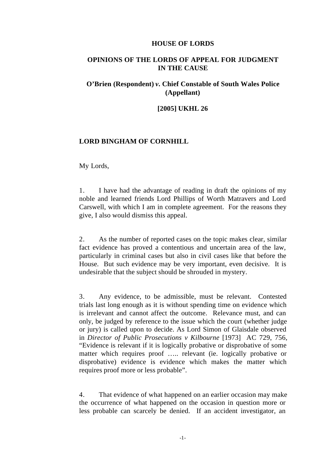#### **HOUSE OF LORDS**

#### **OPINIONS OF THE LORDS OF APPEAL FOR JUDGMENT IN THE CAUSE**

#### **O'Brien (Respondent)** *v.* **Chief Constable of South Wales Police (Appellant)**

#### **[2005] UKHL 26**

#### **LORD BINGHAM OF CORNHILL**

#### My Lords,

1. I have had the advantage of reading in draft the opinions of my noble and learned friends Lord Phillips of Worth Matravers and Lord Carswell, with which I am in complete agreement. For the reasons they give, I also would dismiss this appeal.

2. As the number of reported cases on the topic makes clear, similar fact evidence has proved a contentious and uncertain area of the law, particularly in criminal cases but also in civil cases like that before the House. But such evidence may be very important, even decisive. It is undesirable that the subject should be shrouded in mystery.

3. Any evidence, to be admissible, must be relevant. Contested trials last long enough as it is without spending time on evidence which is irrelevant and cannot affect the outcome. Relevance must, and can only, be judged by reference to the issue which the court (whether judge or jury) is called upon to decide. As Lord Simon of Glaisdale observed in *Director of Public Prosecutions v Kilbourne* [1973] AC 729, 756, "Evidence is relevant if it is logically probative or disprobative of some matter which requires proof ….. relevant (ie. logically probative or disprobative) evidence is evidence which makes the matter which requires proof more or less probable".

4. That evidence of what happened on an earlier occasion may make the occurrence of what happened on the occasion in question more or less probable can scarcely be denied. If an accident investigator, an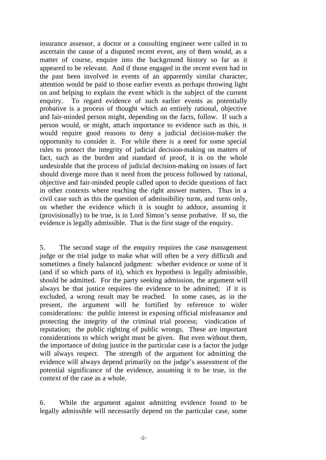insurance assessor, a doctor or a consulting engineer were called in to ascertain the cause of a disputed recent event, any of them would, as a matter of course, enquire into the background history so far as it appeared to be relevant. And if those engaged in the recent event had in the past been involved in events of an apparently similar character, attention would be paid to those earlier events as perhaps throwing light on and helping to explain the event which is the subject of the current enquiry. To regard evidence of such earlier events as potentially probative is a process of thought which an entirely rational, objective and fair-minded person might, depending on the facts, follow. If such a person would, or might, attach importance to evidence such as this, it would require good reasons to deny a judicial decision-maker the opportunity to consider it. For while there is a need for some special rules to protect the integrity of judicial decision-making on matters of fact, such as the burden and standard of proof, it is on the whole undesirable that the process of judicial decision-making on issues of fact should diverge more than it need from the process followed by rational, objective and fair-minded people called upon to decide questions of fact in other contexts where reaching the right answer matters. Thus in a civil case such as this the question of admissibility turns, and turns only, on whether the evidence which it is sought to adduce, assuming it (provisionally) to be true, is in Lord Simon's sense probative. If so, the evidence is legally admissible. That is the first stage of the enquiry.

5. The second stage of the enquiry requires the case management judge or the trial judge to make what will often be a very difficult and sometimes a finely balanced judgment: whether evidence or some of it (and if so which parts of it), which ex hypothesi is legally admissible, should be admitted. For the party seeking admission, the argument will always be that justice requires the evidence to be admitted; if it is excluded, a wrong result may be reached. In some cases, as in the present, the argument will be fortified by reference to wider considerations: the public interest in exposing official misfeasance and protecting the integrity of the criminal trial process; vindication of reputation; the public righting of public wrongs. These are important considerations to which weight must be given. But even without them, the importance of doing justice in the particular case is a factor the judge will always respect. The strength of the argument for admitting the evidence will always depend primarily on the judge's assessment of the potential significance of the evidence, assuming it to be true, in the context of the case as a whole.

6. While the argument against admitting evidence found to be legally admissible will necessarily depend on the particular case, some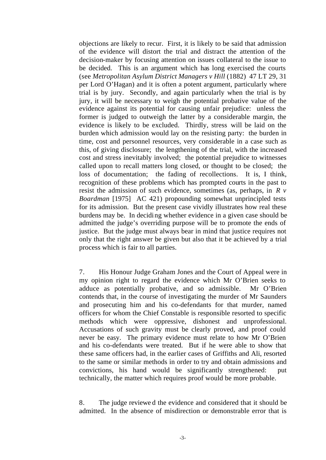objections are likely to recur. First, it is likely to be said that admission of the evidence will distort the trial and distract the attention of the decision-maker by focusing attention on issues collateral to the issue to be decided. This is an argument which has long exercised the courts (see *Metropolitan Asylum District Managers v Hill* (1882) 47 LT 29, 31 per Lord O'Hagan) and it is often a potent argument, particularly where trial is by jury. Secondly, and again particularly when the trial is by jury, it will be necessary to weigh the potential probative value of the evidence against its potential for causing unfair prejudice: unless the former is judged to outweigh the latter by a considerable margin, the evidence is likely to be excluded. Thirdly, stress will be laid on the burden which admission would lay on the resisting party: the burden in time, cost and personnel resources, very considerable in a case such as this, of giving disclosure; the lengthening of the trial, with the increased cost and stress inevitably involved; the potential prejudice to witnesses called upon to recall matters long closed, or thought to be closed; the loss of documentation; the fading of recollections. It is, I think, recognition of these problems which has prompted courts in the past to resist the admission of such evidence, sometimes (as, perhaps, in *R v Boardman* [1975] AC 421) propounding somewhat unprincipled tests for its admission. But the present case vividly illustrates how real these burdens may be. In deciding whether evidence in a given case should be admitted the judge's overriding purpose will be to promote the ends of justice. But the judge must always bear in mind that justice requires not only that the right answer be given but also that it be achieved by a trial process which is fair to all parties.

7. His Honour Judge Graham Jones and the Court of Appeal were in my opinion right to regard the evidence which Mr O'Brien seeks to adduce as potentially probative, and so admissible. Mr O'Brien contends that, in the course of investigating the murder of Mr Saunders and prosecuting him and his co-defendants for that murder, named officers for whom the Chief Constable is responsible resorted to specific methods which were oppressive, dishonest and unprofessional. Accusations of such gravity must be clearly proved, and proof could never be easy. The primary evidence must relate to how Mr O'Brien and his co-defendants were treated. But if he were able to show that these same officers had, in the earlier cases of Griffiths and Ali, resorted to the same or similar methods in order to try and obtain admissions and convictions, his hand would be significantly strengthened: put technically, the matter which requires proof would be more probable.

8. The judge reviewe d the evidence and considered that it should be admitted. In the absence of misdirection or demonstrable error that is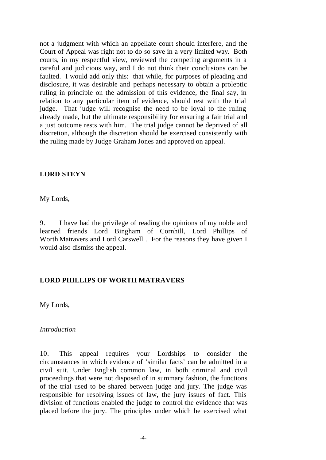not a judgment with which an appellate court should interfere, and the Court of Appeal was right not to do so save in a very limited way. Both courts, in my respectful view, reviewed the competing arguments in a careful and judicious way, and I do not think their conclusions can be faulted. I would add only this: that while, for purposes of pleading and disclosure, it was desirable and perhaps necessary to obtain a proleptic ruling in principle on the admission of this evidence, the final say, in relation to any particular item of evidence, should rest with the trial judge. That judge will recognise the need to be loyal to the ruling already made, but the ultimate responsibility for ensuring a fair trial and a just outcome rests with him. The trial judge cannot be deprived of all discretion, although the discretion should be exercised consistently with the ruling made by Judge Graham Jones and approved on appeal.

#### **LORD STEYN**

My Lords,

9. I have had the privilege of reading the opinions of my noble and learned friends Lord Bingham of Cornhill, Lord Phillips of Worth Matravers and Lord Carswell . For the reasons they have given I would also dismiss the appeal.

#### **LORD PHILLIPS OF WORTH MATRAVERS**

My Lords,

#### *Introduction*

10. This appeal requires your Lordships to consider the circumstances in which evidence of 'similar facts' can be admitted in a civil suit. Under English common law, in both criminal and civil proceedings that were not disposed of in summary fashion, the functions of the trial used to be shared between judge and jury. The judge was responsible for resolving issues of law, the jury issues of fact. This division of functions enabled the judge to control the evidence that was placed before the jury. The principles under which he exercised what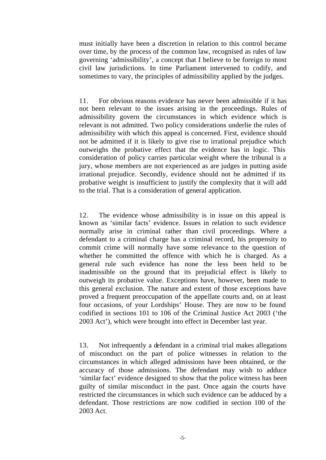must initially have been a discretion in relation to this control became over time, by the process of the common law, recognised as rules of law governing 'admissibility', a concept that I believe to be foreign to most civil law jurisdictions. In time Parliament intervened to codify, and sometimes to vary, the principles of admissibility applied by the judges.

11. For obvious reasons evidence has never been admissible if it has not been relevant to the issues arising in the proceedings. Rules of admissibility govern the circumstances in which evidence which is relevant is not admitted. Two policy considerations underlie the rules of admissibility with which this appeal is concerned. First, evidence should not be admitted if it is likely to give rise to irrational prejudice which outweighs the probative effect that the evidence has in logic. This consideration of policy carries particular weight where the tribunal is a jury, whose members are not experienced as are judges in putting aside irrational prejudice. Secondly, evidence should not be admitted if its probative weight is insufficient to justify the complexity that it will add to the trial. That is a consideration of general application.

12. The evidence whose admissibility is in issue on this appeal is known as 'similar facts' evidence. Issues in relation to such evidence normally arise in criminal rather than civil proceedings. Where a defendant to a criminal charge has a criminal record, his propensity to commit crime will normally have some relevance to the question of whether he committed the offence with which he is charged. As a general rule such evidence has none the less been held to be inadmissible on the ground that its prejudicial effect is likely to outweigh its probative value. Exceptions have, however, been made to this general exclusion. The nature and extent of those exceptions have proved a frequent preoccupation of the appellate courts and, on at least four occasions, of your Lordships' House. They are now to be found codified in sections 101 to 106 of the Criminal Justice Act 2003 ('the 2003 Act'), which were brought into effect in December last year.

13. Not infrequently a defendant in a criminal trial makes allegations of misconduct on the part of police witnesses in relation to the circumstances in which alleged admissions have been obtained, or the accuracy of those admissions. The defendant may wish to adduce 'similar fact' evidence designed to show that the police witness has been guilty of similar misconduct in the past. Once again the courts have restricted the circumstances in which such evidence can be adduced by a defendant. Those restrictions are now codified in section 100 of the 2003 Act.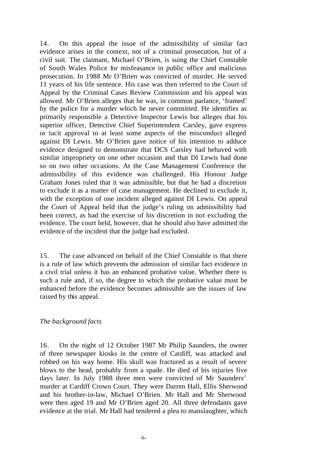14. On this appeal the issue of the admissibility of similar fact evidence arises in the context, not of a criminal prosecution, but of a civil suit. The claimant, Michael O'Brien, is suing the Chief Constable of South Wales Police for misfeasance in public office and malicious prosecution. In 1988 Mr O'Brien was convicted of murder. He served 11 years of his life sentence. His case was then referred to the Court of Appeal by the Criminal Cases Review Commission and his appeal was allowed. Mr O'Brien alleges that he was, in common parlance, 'framed' by the police for a murder which he never committed. He identifies as primarily responsible a Detective Inspector Lewis but alleges that his superior officer, Detective Chief Superintendent Carsley, gave express or tacit approval to at least some aspects of the misconduct alleged against DI Lewis. Mr O'Brien gave notice of his intention to adduce evidence designed to demonstrate that DCS Carsley had behaved with similar impropriety on one other occasion and that DI Lewis had done so on two other occasions. At the Case Management Conference the admissibility of this evidence was challenged. His Honour Judge Graham Jones ruled that it was admissible, but that he had a discretion to exclude it as a matter of case management. He declined to exclude it, with the exception of one incident alleged against DI Lewis. On appeal the Court of Appeal held that the judge's ruling on admissibility had been correct, as had the exercise of his discretion in not excluding the evidence. The court held, however, that he should also have admitted the evidence of the incident that the judge had excluded.

15. The case advanced on behalf of the Chief Constable is that there is a rule of law which prevents the admission of similar fact evidence in a civil trial unless it has an enhanced probative value. Whether there is such a rule and, if so, the degree to which the probative value must be enhanced before the evidence becomes admissible are the issues of law raised by this appeal.

#### *The background facts*

16. On the night of 12 October 1987 Mr Philip Saunders, the owner of three newspaper kiosks in the centre of Cardiff, was attacked and robbed on his way home. His skull was fractured as a result of severe blows to the head, probably from a spade. He died of his injuries five days later. In July 1988 three men were convicted of Mr Saunders' murder at Cardiff Crown Court. They were Darren Hall, Ellis Sherwood and his brother-in-law, Michael O'Brien. Mr Hall and Mr Sherwood were then aged 19 and Mr O'Brien aged 20. All three defendants gave evidence at the trial. Mr Hall had tendered a plea to manslaughter, which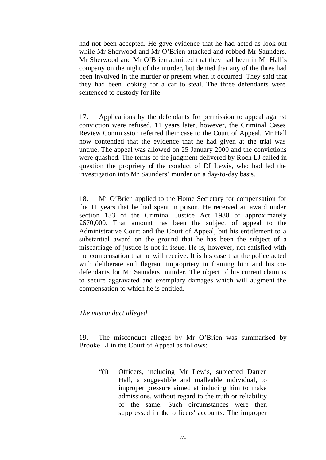had not been accepted. He gave evidence that he had acted as look-out while Mr Sherwood and Mr O'Brien attacked and robbed Mr Saunders. Mr Sherwood and Mr O'Brien admitted that they had been in Mr Hall's company on the night of the murder, but denied that any of the three had been involved in the murder or present when it occurred. They said that they had been looking for a car to steal. The three defendants were sentenced to custody for life.

17. Applications by the defendants for permission to appeal against conviction were refused. 11 years later, however, the Criminal Cases Review Commission referred their case to the Court of Appeal. Mr Hall now contended that the evidence that he had given at the trial was untrue. The appeal was allowed on 25 January 2000 and the convictions were quashed. The terms of the judgment delivered by Roch LJ called in question the propriety of the conduct of DI Lewis, who had led the investigation into Mr Saunders' murder on a day-to-day basis.

18. Mr O'Brien applied to the Home Secretary for compensation for the 11 years that he had spent in prison. He received an award under section 133 of the Criminal Justice Act 1988 of approximately £670,000. That amount has been the subject of appeal to the Administrative Court and the Court of Appeal, but his entitlement to a substantial award on the ground that he has been the subject of a miscarriage of justice is not in issue. He is, however, not satisfied with the compensation that he will receive. It is his case that the police acted with deliberate and flagrant impropriety in framing him and his codefendants for Mr Saunders' murder. The object of his current claim is to secure aggravated and exemplary damages which will augment the compensation to which he is entitled.

#### *The misconduct alleged*

19. The misconduct alleged by Mr O'Brien was summarised by Brooke LJ in the Court of Appeal as follows:

"(i) Officers, including Mr Lewis, subjected Darren Hall, a suggestible and malleable individual, to improper pressure aimed at inducing him to make admissions, without regard to the truth or reliability of the same. Such circumstances were then suppressed in the officers' accounts. The improper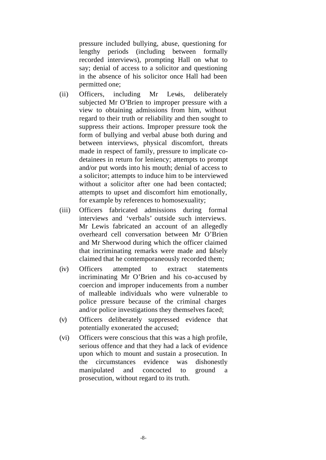pressure included bullying, abuse, questioning for lengthy periods (including between formally recorded interviews), prompting Hall on what to say; denial of access to a solicitor and questioning in the absence of his solicitor once Hall had been permitted one;

- (ii) Officers, including Mr Lewis, deliberately subjected Mr O'Brien to improper pressure with a view to obtaining admissions from him, without regard to their truth or reliability and then sought to suppress their actions. Improper pressure took the form of bullying and verbal abuse both during and between interviews, physical discomfort, threats made in respect of family, pressure to implicate codetainees in return for leniency; attempts to prompt and/or put words into his mouth; denial of access to a solicitor; attempts to induce him to be interviewed without a solicitor after one had been contacted; attempts to upset and discomfort him emotionally, for example by references to homosexuality;
- (iii) Officers fabricated admissions during formal interviews and 'verbals' outside such interviews. Mr Lewis fabricated an account of an allegedly overheard cell conversation between Mr O'Brien and Mr Sherwood during which the officer claimed that incriminating remarks were made and falsely claimed that he contemporaneously recorded them;
- (iv) Officers attempted to extract statements incriminating Mr O'Brien and his co-accused by coercion and improper inducements from a number of malleable individuals who were vulnerable to police pressure because of the criminal charges and/or police investigations they themselves faced;
- (v) Officers deliberately suppressed evidence that potentially exonerated the accused;
- (vi) Officers were conscious that this was a high profile, serious offence and that they had a lack of evidence upon which to mount and sustain a prosecution. In the circumstances evidence was dishonestly manipulated and concocted to ground a prosecution, without regard to its truth.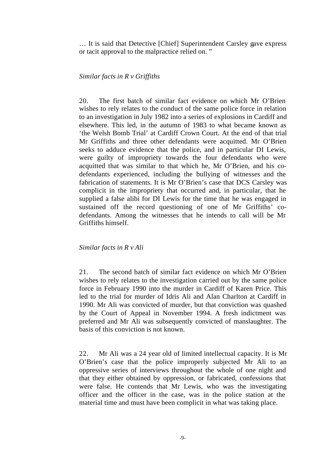… It is said that Detective [Chief] Superintendent Carsley gave express or tacit approval to the malpractice relied on. "

#### *Similar facts in R v Griffiths*

20. The first batch of similar fact evidence on which Mr O'Brien wishes to rely relates to the conduct of the same police force in relation to an investigation in July 1982 into a series of explosions in Cardiff and elsewhere. This led, in the autumn of 1983 to what became known as 'the Welsh Bomb Trial' at Cardiff Crown Court. At the end of that trial Mr Griffiths and three other defendants were acquitted. Mr O'Brien seeks to adduce evidence that the police, and in particular DI Lewis, were guilty of impropriety towards the four defendants who were acquitted that was similar to that which he, Mr O'Brien, and his codefendants experienced, including the bullying of witnesses and the fabrication of statements. It is Mr O'Brien's case that DCS Carsley was complicit in the impropriety that occurred and, in particular, that he supplied a false alibi for DI Lewis for the time that he was engaged in sustained off the record questioning of one of Mr Griffiths' codefendants. Among the witnesses that he intends to call will be Mr Griffiths himself.

#### *Similar facts in R v Ali*

21. The second batch of similar fact evidence on which Mr O'Brien wishes to rely relates to the investigation carried out by the same police force in February 1990 into the murder in Cardiff of Karen Price. This led to the trial for murder of Idris Ali and Alan Charlton at Cardiff in 1990. Mr Ali was convicted of murder, but that conviction was quashed by the Court of Appeal in November 1994. A fresh indictment was preferred and Mr Ali was subsequently convicted of manslaughter. The basis of this conviction is not known.

22. Mr Ali was a 24 year old of limited intellectual capacity. It is Mr O'Brien's case that the police improperly subjected Mr Ali to an oppressive series of interviews throughout the whole of one night and that they either obtained by oppression, or fabricated, confessions that were false. He contends that Mr Lewis, who was the investigating officer and the officer in the case, was in the police station at the material time and must have been complicit in what was taking place.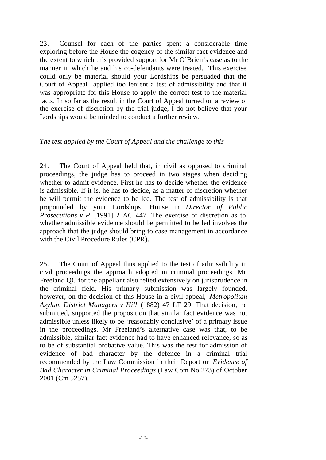23. Counsel for each of the parties spent a considerable time exploring before the House the cogency of the similar fact evidence and the extent to which this provided support for Mr O'Brien's case as to the manner in which he and his co-defendants were treated. This exercise could only be material should your Lordships be persuaded that the Court of Appeal applied too lenient a test of admissibility and that it was appropriate for this House to apply the correct test to the material facts. In so far as the result in the Court of Appeal turned on a review of the exercise of discretion by the trial judge, I do not believe that your Lordships would be minded to conduct a further review.

#### *The test applied by the Court of Appeal and the challenge to this*

24. The Court of Appeal held that, in civil as opposed to criminal proceedings, the judge has to proceed in two stages when deciding whether to admit evidence. First he has to decide whether the evidence is admissible. If it is, he has to decide, as a matter of discretion whether he will permit the evidence to be led. The test of admissibility is that propounded by your Lordships' House in *Director of Public Prosecutions v P* [1991] 2 AC 447. The exercise of discretion as to whether admissible evidence should be permitted to be led involves the approach that the judge should bring to case management in accordance with the Civil Procedure Rules (CPR).

25. The Court of Appeal thus applied to the test of admissibility in civil proceedings the approach adopted in criminal proceedings. Mr Freeland QC for the appellant also relied extensively on jurisprudence in the criminal field. His primary submission was largely founded, however, on the decision of this House in a civil appeal, *Metropolitan Asylum District Managers v Hill* (1882) 47 LT 29. That decision, he submitted, supported the proposition that similar fact evidence was not admissible unless likely to be 'reasonably conclusive' of a primary issue in the proceedings. Mr Freeland's alternative case was that, to be admissible, similar fact evidence had to have enhanced relevance, so as to be of substantial probative value. This was the test for admission of evidence of bad character by the defence in a criminal trial recommended by the Law Commission in their Report on *Evidence of Bad Character in Criminal Proceedings* (Law Com No 273) of October 2001 (Cm 5257).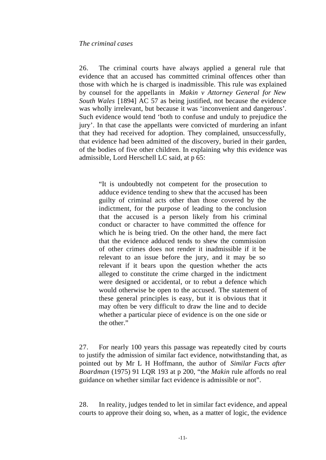#### *The criminal cases*

26. The criminal courts have always applied a general rule that evidence that an accused has committed criminal offences other than those with which he is charged is inadmissible. This rule was explained by counsel for the appellants in *Makin v Attorney General for New South Wales* [1894] AC 57 as being justified, not because the evidence was wholly irrelevant, but because it was 'inconvenient and dangerous'. Such evidence would tend 'both to confuse and unduly to prejudice the jury'. In that case the appellants were convicted of murdering an infant that they had received for adoption. They complained, unsuccessfully, that evidence had been admitted of the discovery, buried in their garden, of the bodies of five other children. In explaining why this evidence was admissible, Lord Herschell LC said, at p 65:

"It is undoubtedly not competent for the prosecution to adduce evidence tending to shew that the accused has been guilty of criminal acts other than those covered by the indictment, for the purpose of leading to the conclusion that the accused is a person likely from his criminal conduct or character to have committed the offence for which he is being tried. On the other hand, the mere fact that the evidence adduced tends to shew the commission of other crimes does not render it inadmissible if it be relevant to an issue before the jury, and it may be so relevant if it bears upon the question whether the acts alleged to constitute the crime charged in the indictment were designed or accidental, or to rebut a defence which would otherwise be open to the accused. The statement of these general principles is easy, but it is obvious that it may often be very difficult to draw the line and to decide whether a particular piece of evidence is on the one side or the other."

27. For nearly 100 years this passage was repeatedly cited by courts to justify the admission of similar fact evidence, notwithstanding that, as pointed out by Mr L H Hoffmann, the author of *Similar Facts after Boardman* (1975) 91 LQR 193 at p 200, "the *Makin* rule affords no real guidance on whether similar fact evidence is admissible or not".

28. In reality, judges tended to let in similar fact evidence, and appeal courts to approve their doing so, when, as a matter of logic, the evidence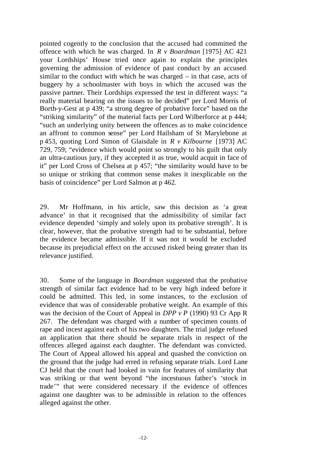pointed cogently to the conclusion that the accused had committed the offence with which he was charged. In *R v Boardman* [1975] AC 421 your Lordships' House tried once again to explain the principles governing the admission of evidence of past conduct by an accused similar to the conduct with which he was charged – in that case, acts of buggery by a schoolmaster with boys in which the accused was the passive partner. Their Lordships expressed the test in different ways: "a really material bearing on the issues to be decided" per Lord Morris of Borth-y-Gest at p 439; "a strong degree of probative force" based on the "striking similarity" of the material facts per Lord Wilberforce at p 444; "such an underlying unity between the offences as to make coincidence an affront to common sense" per Lord Hailsham of St Marylebone at p 453, quoting Lord Simon of Glaisdale in *R v Kilbourne* [1973] AC 729, 759; "evidence which would point so strongly to his guilt that only an ultra-cautious jury, if they accepted it as true, would acquit in face of it" per Lord Cross of Chelsea at p 457; "the similarity would have to be so unique or striking that common sense makes it inexplicable on the basis of coincidence" per Lord Salmon at p 462.

29. Mr Hoffmann, in his article, saw this decision as 'a great advance' in that it recognised that the admissibility of similar fact evidence depended 'simply and solely upon its probative strength'. It is clear, however, that the probative strength had to be substantial, before the evidence became admissible. If it was not it would be excluded because its prejudicial effect on the accused risked being greater than its relevance justified.

30. Some of the language in *Boardman* suggested that the probative strength of similar fact evidence had to be very high indeed before it could be admitted. This led, in some instances, to the exclusion of evidence that was of considerable probative weight. An example of this was the decision of the Court of Appeal in *DPP v P* (1990) 93 Cr App R 267*.* The defendant was charged with a number of specimen counts of rape and incest against each of his two daughters. The trial judge refused an application that there should be separate trials in respect of the offences alleged against each daughter. The defendant was convicted. The Court of Appeal allowed his appeal and quashed the conviction on the ground that the judge had erred in refusing separate trials. Lord Lane CJ held that the court had looked in vain for features of similarity that was striking or that went beyond "the incestuous father's 'stock in trade'" that were considered necessary if the evidence of offences against one daughter was to be admissible in relation to the offences alleged against the other.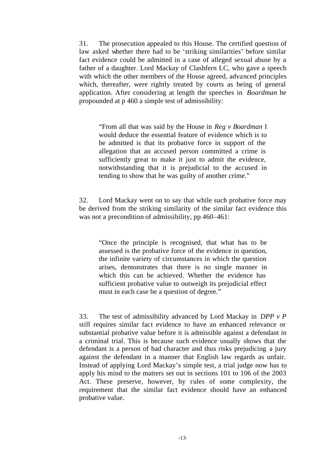31. The prosecution appealed to this House. The certified question of law asked whether there had to be 'striking similarities' before similar fact evidence could be admitted in a case of alleged sexual abuse by a father of a daughter. Lord Mackay of Clashfern LC, who gave a speech with which the other members of the House agreed, advanced principles which, thereafter, were rightly treated by courts as being of general application. After considering at length the speeches in *Boardman* he propounded at p 460 a simple test of admissibility:

"From all that was said by the House in *Reg v Boardman* I would deduce the essential feature of evidence which is to be admitted is that its probative force in support of the allegation that an accused person committed a crime is sufficiently great to make it just to admit the evidence, notwithstanding that it is prejudicial to the accused in tending to show that he was guilty of another crime."

32. Lord Mackay went on to say that while such probative force may be derived from the striking similarity of the similar fact evidence this was not a precondition of admissibility, pp 460–461:

"Once the principle is recognised, that what has to be assessed is the probative force of the evidence in question, the infinite variety of circumstances in which the question arises, demonstrates that there is no single manner in which this can be achieved. Whether the evidence has sufficient probative value to outweigh its prejudicial effect must in each case be a question of degree."

33. The test of admissibility advanced by Lord Mackay in *DPP v P*  still requires similar fact evidence to have an enhanced relevance or substantial probative value before it is admissible against a defendant in a criminal trial. This is because such evidence usually shows that the defendant is a person of bad character and thus risks prejudicing a jury against the defendant in a manner that English law regards as unfair. Instead of applying Lord Mackay's simple test, a trial judge now has to apply his mind to the matters set out in sections 101 to 106 of the 2003 Act. These preserve, however, by rules of some complexity, the requirement that the similar fact evidence should have an enhanced probative value.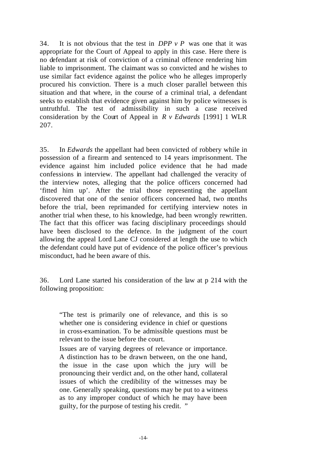34. It is not obvious that the test in *DPP v P* was one that it was appropriate for the Court of Appeal to apply in this case. Here there is no defendant at risk of conviction of a criminal offence rendering him liable to imprisonment. The claimant was so convicted and he wishes to use similar fact evidence against the police who he alleges improperly procured his conviction. There is a much closer parallel between this situation and that where, in the course of a criminal trial, a defendant seeks to establish that evidence given against him by police witnesses is untruthful. The test of admissibility in such a case received consideration by the Court of Appeal in *R v Edwards* [1991] 1 WLR 207.

35. In *Edwards* the appellant had been convicted of robbery while in possession of a firearm and sentenced to 14 years imprisonment. The evidence against him included police evidence that he had made confessions in interview. The appellant had challenged the veracity of the interview notes, alleging that the police officers concerned had 'fitted him up'. After the trial those representing the appellant discovered that one of the senior officers concerned had, two months before the trial, been reprimanded for certifying interview notes in another trial when these, to his knowledge, had been wrongly rewritten. The fact that this officer was facing disciplinary proceedings should have been disclosed to the defence. In the judgment of the court allowing the appeal Lord Lane CJ considered at length the use to which the defendant could have put of evidence of the police officer's previous misconduct, had he been aware of this.

36. Lord Lane started his consideration of the law at p 214 with the following proposition:

"The test is primarily one of relevance, and this is so whether one is considering evidence in chief or questions in cross-examination. To be admissible questions must be relevant to the issue before the court.

Issues are of varying degrees of relevance or importance. A distinction has to be drawn between, on the one hand, the issue in the case upon which the jury will be pronouncing their verdict and, on the other hand, collateral issues of which the credibility of the witnesses may be one. Generally speaking, questions may be put to a witness as to any improper conduct of which he may have been guilty, for the purpose of testing his credit. "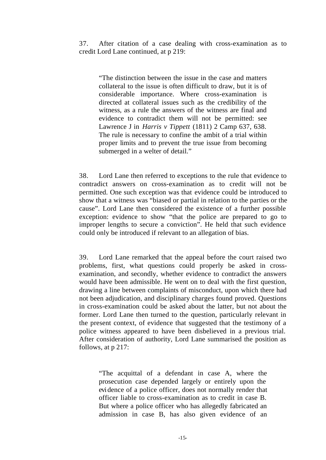37. After citation of a case dealing with cross-examination as to credit Lord Lane continued, at p 219:

"The distinction between the issue in the case and matters collateral to the issue is often difficult to draw, but it is of considerable importance. Where cross-examination is directed at collateral issues such as the credibility of the witness, as a rule the answers of the witness are final and evidence to contradict them will not be permitted: see Lawrence J in *Harris v Tippett* (1811) 2 Camp 637, 638. The rule is necessary to confine the ambit of a trial within proper limits and to prevent the true issue from becoming submerged in a welter of detail."

38. Lord Lane then referred to exceptions to the rule that evidence to contradict answers on cross-examination as to credit will not be permitted. One such exception was that evidence could be introduced to show that a witness was "biased or partial in relation to the parties or the cause". Lord Lane then considered the existence of a further possible exception: evidence to show "that the police are prepared to go to improper lengths to secure a conviction". He held that such evidence could only be introduced if relevant to an allegation of bias.

39. Lord Lane remarked that the appeal before the court raised two problems, first, what questions could properly be asked in crossexamination, and secondly, whether evidence to contradict the answers would have been admissible. He went on to deal with the first question, drawing a line between complaints of misconduct, upon which there had not been adjudication, and disciplinary charges found proved. Questions in cross-examination could be asked about the latter, but not about the former. Lord Lane then turned to the question, particularly relevant in the present context, of evidence that suggested that the testimony of a police witness appeared to have been disbelieved in a previous trial. After consideration of authority, Lord Lane summarised the position as follows, at p 217:

"The acquittal of a defendant in case A, where the prosecution case depended largely or entirely upon the evidence of a police officer, does not normally render that officer liable to cross-examination as to credit in case B. But where a police officer who has allegedly fabricated an admission in case B, has also given evidence of an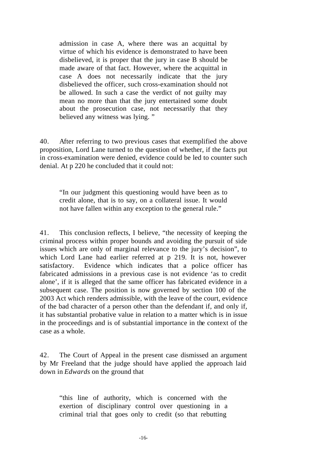admission in case A, where there was an acquittal by virtue of which his evidence is demonstrated to have been disbelieved, it is proper that the jury in case B should be made aware of that fact. However, where the acquittal in case A does not necessarily indicate that the jury disbelieved the officer, such cross-examination should not be allowed. In such a case the verdict of not guilty may mean no more than that the jury entertained some doubt about the prosecution case, not necessarily that they believed any witness was lying. "

40. After referring to two previous cases that exemplified the above proposition, Lord Lane turned to the question of whether, if the facts put in cross-examination were denied, evidence could be led to counter such denial. At p 220 he concluded that it could not:

"In our judgment this questioning would have been as to credit alone, that is to say, on a collateral issue. It would not have fallen within any exception to the general rule."

41. This conclusion reflects, I believe, "the necessity of keeping the criminal process within proper bounds and avoiding the pursuit of side issues which are only of marginal relevance to the jury's decision", to which Lord Lane had earlier referred at p 219. It is not, however satisfactory. Evidence which indicates that a police officer has fabricated admissions in a previous case is not evidence 'as to credit alone', if it is alleged that the same officer has fabricated evidence in a subsequent case. The position is now governed by section 100 of the 2003 Act which renders admissible, with the leave of the court, evidence of the bad character of a person other than the defendant if, and only if, it has substantial probative value in relation to a matter which is in issue in the proceedings and is of substantial importance in the context of the case as a whole.

42. The Court of Appeal in the present case dismissed an argument by Mr Freeland that the judge should have applied the approach laid down in *Edwards* on the ground that

"this line of authority, which is concerned with the exertion of disciplinary control over questioning in a criminal trial that goes only to credit (so that rebutting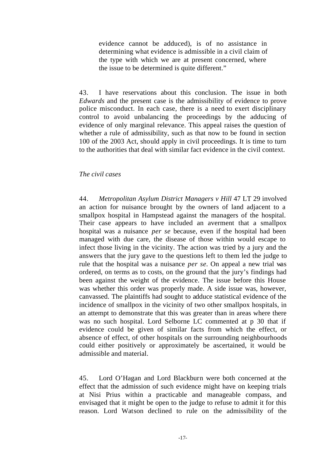evidence cannot be adduced), is of no assistance in determining what evidence is admissible in a civil claim of the type with which we are at present concerned, where the issue to be determined is quite different."

43. I have reservations about this conclusion. The issue in both *Edwards* and the present case is the admissibility of evidence to prove police misconduct. In each case, there is a need to exert disciplinary control to avoid unbalancing the proceedings by the adducing of evidence of only marginal relevance. This appeal raises the question of whether a rule of admissibility, such as that now to be found in section 100 of the 2003 Act, should apply in civil proceedings. It is time to turn to the authorities that deal with similar fact evidence in the civil context.

#### *The civil cases*

44. *Metropolitan Asylum District Managers v Hill* 47 LT 29 involved an action for nuisance brought by the owners of land adjacent to a smallpox hospital in Hampstead against the managers of the hospital. Their case appears to have included an averment that a smallpox hospital was a nuisance *per se* because, even if the hospital had been managed with due care, the disease of those within would escape to infect those living in the vicinity. The action was tried by a jury and the answers that the jury gave to the questions left to them led the judge to rule that the hospital was a nuisance *per se.* On appeal a new trial was ordered, on terms as to costs, on the ground that the jury's findings had been against the weight of the evidence. The issue before this House was whether this order was properly made. A side issue was, however, canvassed. The plaintiffs had sought to adduce statistical evidence of the incidence of smallpox in the vicinity of two other smallpox hospitals, in an attempt to demonstrate that this was greater than in areas where there was no such hospital. Lord Selborne LC commented at p 30 that if evidence could be given of similar facts from which the effect, or absence of effect, of other hospitals on the surrounding neighbourhoods could either positively or approximately be ascertained, it would be admissible and material.

45. Lord O'Hagan and Lord Blackburn were both concerned at the effect that the admission of such evidence might have on keeping trials at Nisi Prius within a practicable and manageable compass, and envisaged that it might be open to the judge to refuse to admit it for this reason. Lord Watson declined to rule on the admissibility of the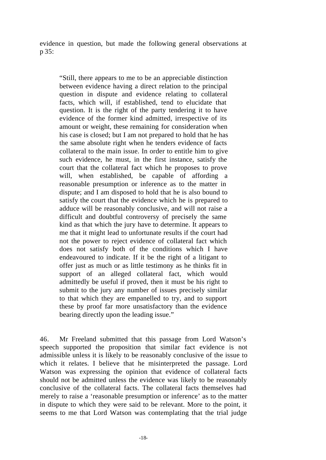evidence in question, but made the following general observations at p 35:

"Still, there appears to me to be an appreciable distinction between evidence having a direct relation to the principal question in dispute and evidence relating to collateral facts, which will, if established, tend to elucidate that question. It is the right of the party tendering it to have evidence of the former kind admitted, irrespective of its amount or weight, these remaining for consideration when his case is closed; but I am not prepared to hold that he has the same absolute right when he tenders evidence of facts collateral to the main issue. In order to entitle him to give such evidence, he must, in the first instance, satisfy the court that the collateral fact which he proposes to prove will, when established, be capable of affording a reasonable presumption or inference as to the matter in dispute; and I am disposed to hold that he is also bound to satisfy the court that the evidence which he is prepared to adduce will be reasonably conclusive, and will not raise a difficult and doubtful controversy of precisely the same kind as that which the jury have to determine. It appears to me that it might lead to unfortunate results if the court had not the power to reject evidence of collateral fact which does not satisfy both of the conditions which I have endeavoured to indicate. If it be the right of a litigant to offer just as much or as little testimony as he thinks fit in support of an alleged collateral fact, which would admittedly be useful if proved, then it must be his right to submit to the jury any number of issues precisely similar to that which they are empanelled to try, and to support these by proof far more unsatisfactory than the evidence bearing directly upon the leading issue."

46. Mr Freeland submitted that this passage from Lord Watson's speech supported the proposition that similar fact evidence is not admissible unless it is likely to be reasonably conclusive of the issue to which it relates. I believe that he misinterpreted the passage. Lord Watson was expressing the opinion that evidence of collateral facts should not be admitted unless the evidence was likely to be reasonably conclusive of the collateral facts. The collateral facts themselves had merely to raise a 'reasonable presumption or inference' as to the matter in dispute to which they were said to be relevant. More to the point, it seems to me that Lord Watson was contemplating that the trial judge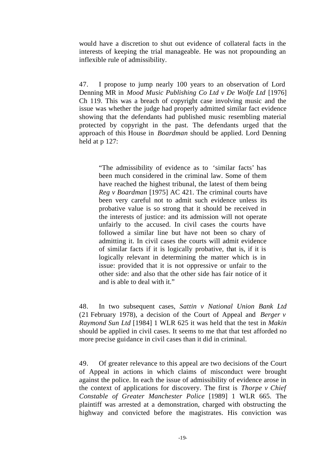would have a discretion to shut out evidence of collateral facts in the interests of keeping the trial manageable. He was not propounding an inflexible rule of admissibility.

47. I propose to jump nearly 100 years to an observation of Lord Denning MR in *Mood Music Publishing Co Ltd v De Wolfe Ltd* [1976] Ch 119. This was a breach of copyright case involving music and the issue was whether the judge had properly admitted similar fact evidence showing that the defendants had published music resembling material protected by copyright in the past. The defendants urged that the approach of this House in *Boardman* should be applied. Lord Denning held at p 127:

"The admissibility of evidence as to 'similar facts' has been much considered in the criminal law. Some of them have reached the highest tribunal, the latest of them being *Reg v Boardman* [1975] AC 421. The criminal courts have been very careful not to admit such evidence unless its probative value is so strong that it should be received in the interests of justice: and its admission will not operate unfairly to the accused. In civil cases the courts have followed a similar line but have not been so chary of admitting it. In civil cases the courts will admit evidence of similar facts if it is logically probative, that is, if it is logically relevant in determining the matter which is in issue: provided that it is not oppressive or unfair to the other side: and also that the other side has fair notice of it and is able to deal with it."

48. In two subsequent cases, *Sattin v National Union Bank Ltd* (21 February 1978), a decision of the Court of Appeal and *Berger v Raymond Sun Ltd* [1984] 1 WLR 625 it was held that the test in *Makin*  should be applied in civil cases. It seems to me that that test afforded no more precise guidance in civil cases than it did in criminal.

49. Of greater relevance to this appeal are two decisions of the Court of Appeal in actions in which claims of misconduct were brought against the police. In each the issue of admissibility of evidence arose in the context of applications for discovery. The first is *Thorpe v Chief Constable of Greater Manchester Police* [1989] 1 WLR 665. The plaintiff was arrested at a demonstration, charged with obstructing the highway and convicted before the magistrates. His conviction was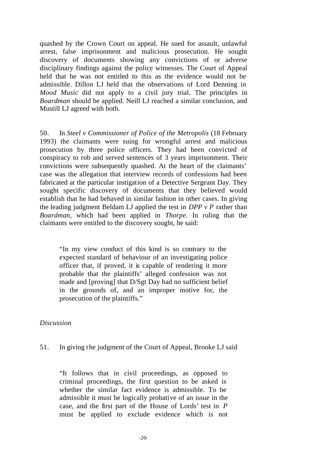quashed by the Crown Court on appeal. He sued for assault, unlawful arrest, false imprisonment and malicious prosecution. He sought discovery of documents showing any convictions of or adverse disciplinary findings against the police witnesses. The Court of Appeal held that he was not entitled to this as the evidence would not be admissible. Dillon LJ held that the observations of Lord Denning in *Mood Music* did not apply to a civil jury trial. The principles in *Boardman* should be applied. Neill LJ reached a similar conclusion, and Mustill LJ agreed with both.

50. In *Steel v Commissioner of Police of the Metropolis* (18 February 1993) the claimants were suing for wrongful arrest and malicious prosecution by three police officers. They had been convicted of conspiracy to rob and served sentences of 3 years imprisonment. Their convictions were subsequently quashed. At the heart of the claimants' case was the allegation that interview records of confessions had been fabricated at the particular instigation of a Detective Sergeant Day. They sought specific discovery of documents that they believed would establish that he had behaved in similar fashion in other cases. In giving the leading judgment Beldam LJ applied the test in *DPP v P* rather than *Boardman,* which had been applied in *Thorpe.* In ruling that the claimants were entitled to the discovery sought, he said:

"In my view conduct of this kind is so contrary to the expected standard of behaviour of an investigating police officer that, if proved, it is capable of rendering it more probable that the plaintiffs' alleged confession was not made and [proving] that D/Sgt Day had no sufficient belief in the grounds of, and an improper motive for, the prosecution of the plaintiffs."

#### *Discussion*

#### 51. In giving the judgment of the Court of Appeal, Brooke LJ said

"It follows that in civil proceedings, as opposed to criminal proceedings, the first question to be asked is whether the similar fact evidence is admissible. To be admissible it must be logically probative of an issue in the case, and the first part of the House of Lords' test in *P*  must be applied to exclude evidence which is not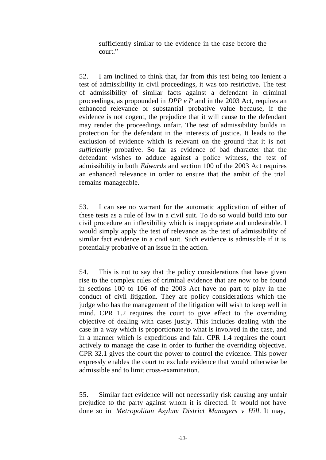sufficiently similar to the evidence in the case before the court."

52. I am inclined to think that, far from this test being too lenient a test of admissibility in civil proceedings, it was too restrictive. The test of admissibility of similar facts against a defendant in criminal proceedings, as propounded in *DPP v P* and in the 2003 Act, requires an enhanced relevance or substantial probative value because, if the evidence is not cogent, the prejudice that it will cause to the defendant may render the proceedings unfair. The test of admissibility builds in protection for the defendant in the interests of justice. It leads to the exclusion of evidence which is relevant on the ground that it is not *sufficiently* probative. So far as evidence of bad character that the defendant wishes to adduce against a police witness, the test of admissibility in both *Edwards* and section 100 of the 2003 Act requires an enhanced relevance in order to ensure that the ambit of the trial remains manageable.

53. I can see no warrant for the automatic application of either of these tests as a rule of law in a civil suit. To do so would build into our civil procedure an inflexibility which is inappropriate and undesirable. I would simply apply the test of relevance as the test of admissibility of similar fact evidence in a civil suit. Such evidence is admissible if it is potentially probative of an issue in the action.

54. This is not to say that the policy considerations that have given rise to the complex rules of criminal evidence that are now to be found in sections 100 to 106 of the 2003 Act have no part to play in the conduct of civil litigation. They are policy considerations which the judge who has the management of the litigation will wish to keep well in mind. CPR 1.2 requires the court to give effect to the overriding objective of dealing with cases justly. This includes dealing with the case in a way which is proportionate to what is involved in the case, and in a manner which is expeditious and fair. CPR 1.4 requires the court actively to manage the case in order to further the overriding objective. CPR 32.1 gives the court the power to control the evidence. This power expressly enables the court to exclude evidence that would otherwise be admissible and to limit cross-examination.

55. Similar fact evidence will not necessarily risk causing any unfair prejudice to the party against whom it is directed. It would not have done so in *Metropolitan Asylum District Managers v Hill.* It may,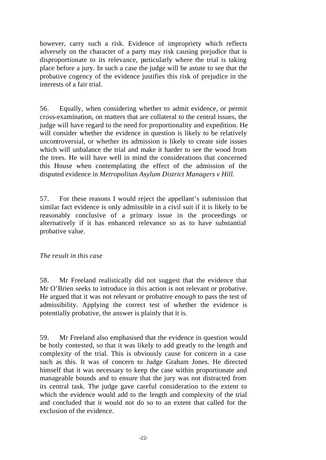however, carry such a risk. Evidence of impropriety which reflects adversely on the character of a party may risk causing prejudice that is disproportionate to its relevance, particularly where the trial is taking place before a jury. In such a case the judge will be astute to see that the probative cogency of the evidence justifies this risk of prejudice in the interests of a fair trial.

56. Equally, when considering whether to admit evidence, or permit cross-examination, on matters that are collateral to the central issues, the judge will have regard to the need for proportionality and expedition. He will consider whether the evidence in question is likely to be relatively uncontroversial, or whether its admission is likely to create side issues which will unbalance the trial and make it harder to see the wood from the trees. He will have well in mind the considerations that concerned this House when contemplating the effect of the admission of the disputed evidence in *Metropolitan Asylum District Managers v Hill.*

57. For these reasons I would reject the appellant's submission that similar fact evidence is only admissible in a civil suit if it is likely to be reasonably conclusive of a primary issue in the proceedings or alternatively if it has enhanced relevance so as to have substantial probative value.

#### *The result in this case*

58. Mr Freeland realistically did not suggest that the evidence that Mr O'Brien seeks to introduce in this action is not relevant or probative. He argued that it was not relevant or probative *enough* to pass the test of admissibility. Applying the correct test of whether the evidence is potentially probative, the answer is plainly that it is.

59. Mr Freeland also emphasised that the evidence in question would be hotly contested, so that it was likely to add greatly to the length and complexity of the trial. This is obviously cause for concern in a case such as this. It was of concern to Judge Graham Jones. He directed himself that it was necessary to keep the case within proportionate and manageable bounds and to ensure that the jury was not distracted from its central task. The judge gave careful consideration to the extent to which the evidence would add to the length and complexity of the trial and concluded that it would not do so to an extent that called for the exclusion of the evidence.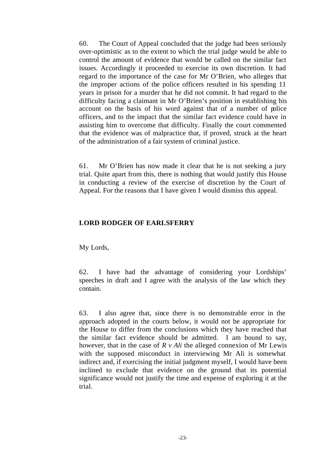60. The Court of Appeal concluded that the judge had been seriously over-optimistic as to the extent to which the trial judge would be able to control the amount of evidence that would be called on the similar fact issues. Accordingly it proceeded to exercise its own discretion. It had regard to the importance of the case for Mr O'Brien, who alleges that the improper actions of the police officers resulted in his spending 11 years in prison for a murder that he did not commit. It had regard to the difficulty facing a claimant in Mr O'Brien's position in establishing his account on the basis of his word against that of a number of police officers, and to the impact that the similar fact evidence could have in assisting him to overcome that difficulty. Finally the court commented that the evidence was of malpractice that, if proved, struck at the heart of the administration of a fair system of criminal justice.

61. Mr O'Brien has now made it clear that he is not seeking a jury trial. Quite apart from this, there is nothing that would justify this House in conducting a review of the exercise of discretion by the Court of Appeal. For the reasons that I have given I would dismiss this appeal.

#### **LORD RODGER OF EARLSFERRY**

My Lords,

62. I have had the advantage of considering your Lordships' speeches in draft and I agree with the analysis of the law which they contain.

63. I also agree that, since there is no demonstrable error in the approach adopted in the courts below, it would not be appropriate for the House to differ from the conclusions which they have reached that the similar fact evidence should be admitted. I am bound to say, however, that in the case of *R v Ali* the alleged connexion of Mr Lewis with the supposed misconduct in interviewing Mr Ali is somewhat indirect and, if exercising the initial judgment myself, I would have been inclined to exclude that evidence on the ground that its potential significance would not justify the time and expense of exploring it at the trial.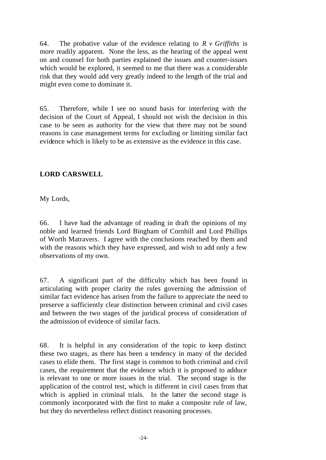64. The probative value of the evidence relating to *R v Griffiths* is more readily apparent. None the less, as the hearing of the appeal went on and counsel for both parties explained the issues and counter-issues which would be explored, it seemed to me that there was a considerable risk that they would add very greatly indeed to the length of the trial and might even come to dominate it.

65. Therefore, while I see no sound basis for interfering with the decision of the Court of Appeal, I should not wish the decision in this case to be seen as authority for the view that there may not be sound reasons in case management terms for excluding or limiting similar fact evidence which is likely to be as extensive as the evidence in this case.

### **LORD CARSWELL**

My Lords,

66. I have had the advantage of reading in draft the opinions of my noble and learned friends Lord Bingham of Cornhill and Lord Phillips of Worth Matravers. I agree with the conclusions reached by them and with the reasons which they have expressed, and wish to add only a few observations of my own.

67. A significant part of the difficulty which has been found in articulating with proper clarity the rules governing the admission of similar fact evidence has arisen from the failure to appreciate the need to preserve a sufficiently clear distinction between criminal and civil cases and between the two stages of the juridical process of consideration of the admission of evidence of similar facts.

68. It is helpful in any consideration of the topic to keep distinct these two stages, as there has been a tendency in many of the decided cases to elide them. The first stage is common to both criminal and civil cases, the requirement that the evidence which it is proposed to adduce is relevant to one or more issues in the trial. The second stage is the application of the control test, which is different in civil cases from that which is applied in criminal trials. In the latter the second stage is commonly incorporated with the first to make a composite rule of law, but they do nevertheless reflect distinct reasoning processes.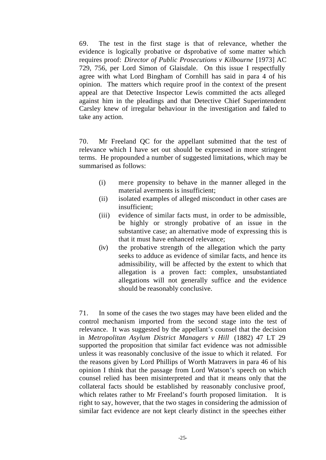69. The test in the first stage is that of relevance, whether the evidence is logically probative or disprobative of some matter which requires proof: *Director of Public Prosecutions v Kilbourne* [1973] AC 729, 756, per Lord Simon of Glaisdale. On this issue I respectfully agree with what Lord Bingham of Cornhill has said in para 4 of his opinion. The matters which require proof in the context of the present appeal are that Detective Inspector Lewis committed the acts alleged against him in the pleadings and that Detective Chief Superintendent Carsley knew of irregular behaviour in the investigation and failed to take any action.

70. Mr Freeland QC for the appellant submitted that the test of relevance which I have set out should be expressed in more stringent terms. He propounded a number of suggested limitations, which may be summarised as follows:

- (i) mere propensity to behave in the manner alleged in the material averments is insufficient;
- (ii) isolated examples of alleged misconduct in other cases are insufficient;
- (iii) evidence of similar facts must, in order to be admissible, be highly or strongly probative of an issue in the substantive case; an alternative mode of expressing this is that it must have enhanced relevance;
- (iv) the probative strength of the allegation which the party seeks to adduce as evidence of similar facts, and hence its admissibility, will be affected by the extent to which that allegation is a proven fact: complex, unsubstantiated allegations will not generally suffice and the evidence should be reasonably conclusive.

71. In some of the cases the two stages may have been elided and the control mechanism imported from the second stage into the test of relevance. It was suggested by the appellant's counsel that the decision in *Metropolitan Asylum District Managers v Hill* (1882) 47 LT 29 supported the proposition that similar fact evidence was not admissible unless it was reasonably conclusive of the issue to which it related. For the reasons given by Lord Phillips of Worth Matravers in para 46 of his opinion I think that the passage from Lord Watson's speech on which counsel relied has been misinterpreted and that it means only that the collateral facts should be established by reasonably conclusive proof, which relates rather to Mr Freeland's fourth proposed limitation. It is right to say, however, that the two stages in considering the admission of similar fact evidence are not kept clearly distinct in the speeches either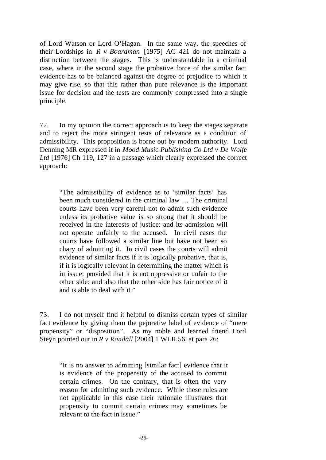of Lord Watson or Lord O'Hagan. In the same way, the speeches of their Lordships in *R v Boardman* [1975] AC 421 do not maintain a distinction between the stages. This is understandable in a criminal case, where in the second stage the probative force of the similar fact evidence has to be balanced against the degree of prejudice to which it may give rise, so that this rather than pure relevance is the important issue for decision and the tests are commonly compressed into a single principle.

72. In my opinion the correct approach is to keep the stages separate and to reject the more stringent tests of relevance as a condition of admissibility. This proposition is borne out by modern authority. Lord Denning MR expressed it in *Mood Music Publishing Co Ltd v De Wolfe Ltd* [1976] Ch 119, 127 in a passage which clearly expressed the correct approach:

"The admissibility of evidence as to 'similar facts' has been much considered in the criminal law … The criminal courts have been very careful not to admit such evidence unless its probative value is so strong that it should be received in the interests of justice: and its admission will not operate unfairly to the accused. In civil cases the courts have followed a similar line but have not been so chary of admitting it. In civil cases the courts will admit evidence of similar facts if it is logically probative, that is, if it is logically relevant in determining the matter which is in issue: provided that it is not oppressive or unfair to the other side: and also that the other side has fair notice of it and is able to deal with it."

73. I do not myself find it helpful to dismiss certain types of similar fact evidence by giving them the pejorative label of evidence of "mere" propensity" or "disposition". As my noble and learned friend Lord Steyn pointed out in *R v Randall* [2004] 1 WLR 56, at para 26:

"It is no answer to admitting [similar fact] evidence that it is evidence of the propensity of the accused to commit certain crimes. On the contrary, that is often the very reason for admitting such evidence. While these rules are not applicable in this case their rationale illustrates that propensity to commit certain crimes may sometimes be relevant to the fact in issue."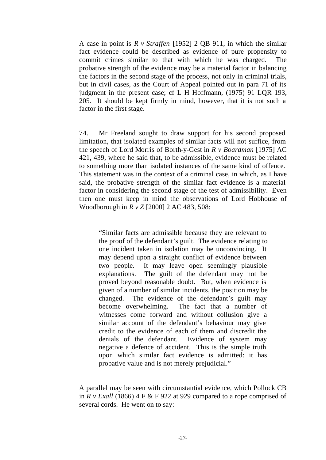A case in point is *R v Straffen* [1952] 2 QB 911, in which the similar fact evidence could be described as evidence of pure propensity to commit crimes similar to that with which he was charged. The probative strength of the evidence may be a material factor in balancing the factors in the second stage of the process, not only in criminal trials, but in civil cases, as the Court of Appeal pointed out in para 71 of its judgment in the present case; cf L H Hoffmann, (1975) 91 LQR 193, 205. It should be kept firmly in mind, however, that it is not such a factor in the first stage.

74. Mr Freeland sought to draw support for his second proposed limitation, that isolated examples of similar facts will not suffice, from the speech of Lord Morris of Borth-y-Gest in *R v Boardman* [1975] AC 421, 439, where he said that, to be admissible, evidence must be related to something more than isolated instances of the same kind of offence. This statement was in the context of a criminal case, in which, as I have said, the probative strength of the similar fact evidence is a material factor in considering the second stage of the test of admissibility. Even then one must keep in mind the observations of Lord Hobhouse of Woodborough in *R v Z* [2000] 2 AC 483, 508:

"Similar facts are admissible because they are relevant to the proof of the defendant's guilt. The evidence relating to one incident taken in isolation may be unconvincing. It may depend upon a straight conflict of evidence between two people. It may leave open seemingly plausible explanations. The guilt of the defendant may not be proved beyond reasonable doubt. But, when evidence is given of a number of similar incidents, the position may be changed. The evidence of the defendant's guilt may become overwhelming. The fact that a number of witnesses come forward and without collusion give a similar account of the defendant's behaviour may give credit to the evidence of each of them and discredit the denials of the defendant. Evidence of system may negative a defence of accident. This is the simple truth upon which similar fact evidence is admitted: it has probative value and is not merely prejudicial."

A parallel may be seen with circumstantial evidence, which Pollock CB in  $R \nu$  *Exall* (1866) 4 F & F 922 at 929 compared to a rope comprised of several cords. He went on to say: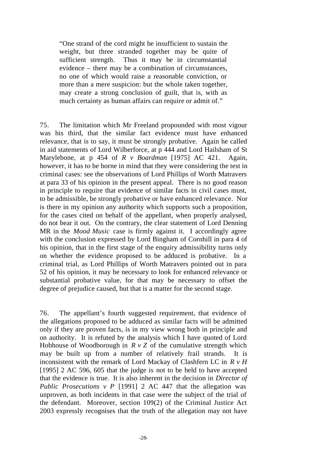"One strand of the cord might be insufficient to sustain the weight, but three stranded together may be quite of sufficient strength. Thus it may be in circumstantial evidence – there may be a combination of circumstances, no one of which would raise a reasonable conviction, or more than a mere suspicion: but the whole taken together, may create a strong conclusion of guilt, that is, with as much certainty as human affairs can require or admit of."

75. The limitation which Mr Freeland propounded with most vigour was his third, that the similar fact evidence must have enhanced relevance, that is to say, it must be strongly probative. Again he called in aid statements of Lord Wilberforce, at p 444 and Lord Hailsham of St Marylebone, at p 454 of *R v Boardman* [1975] AC 421. Again, however, it has to be borne in mind that they were considering the test in criminal cases: see the observations of Lord Phillips of Worth Matravers at para 33 of his opinion in the present appeal. There is no good reason in principle to require that evidence of similar facts in civil cases must, to be admissible, be strongly probative or have enhanced relevance. Nor is there in my opinion any authority which supports such a proposition, for the cases cited on behalf of the appellant, when properly analysed, do not bear it out. On the contrary, the clear statement of Lord Denning MR in the *Mood Music* case is firmly against it. I accordingly agree with the conclusion expressed by Lord Bingham of Cornhill in para 4 of his opinion, that in the first stage of the enquiry admissibility turns only on whether the evidence proposed to be adduced is probative. In a criminal trial, as Lord Phillips of Worth Matravers pointed out in para 52 of his opinion, it may be necessary to look for enhanced relevance or substantial probative value, for that may be necessary to offset the degree of prejudice caused, but that is a matter for the second stage.

76. The appellant's fourth suggested requirement, that evidence of the allegations proposed to be adduced as similar facts will be admitted only if they are proven facts, is in my view wrong both in principle and on authority. It is refuted by the analysis which I have quoted of Lord Hobhouse of Woodborough in  $R \vee Z$  of the cumulative strength which may be built up from a number of relatively frail strands. It is inconsistent with the remark of Lord Mackay of Clashfern LC in *R v H*  [1995] 2 AC 596, 605 that the judge is not to be held to have accepted that the evidence is true. It is also inherent in the decision in *Director of Public Prosecutions v P* [1991] 2 AC 447 that the allegation was unproven, as both incidents in that case were the subject of the trial of the defendant. Moreover, section 109(2) of the Criminal Justice Act 2003 expressly recognises that the truth of the allegation may not have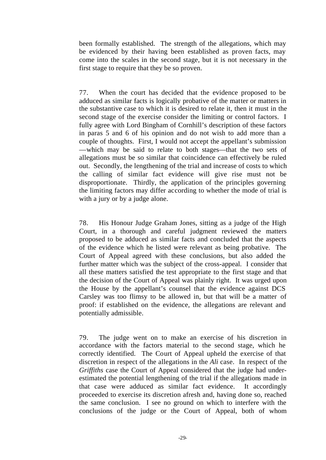been formally established. The strength of the allegations, which may be evidenced by their having been established as proven facts, may come into the scales in the second stage, but it is not necessary in the first stage to require that they be so proven.

77. When the court has decided that the evidence proposed to be adduced as similar facts is logically probative of the matter or matters in the substantive case to which it is desired to relate it, then it must in the second stage of the exercise consider the limiting or control factors. I fully agree with Lord Bingham of Cornhill's description of these factors in paras 5 and 6 of his opinion and do not wish to add more than a couple of thoughts. First, I would not accept the appellant's submission —which may be said to relate to both stages—that the two sets of allegations must be so similar that coincidence can effectively be ruled out. Secondly, the lengthening of the trial and increase of costs to which the calling of similar fact evidence will give rise must not be disproportionate. Thirdly, the application of the principles governing the limiting factors may differ according to whether the mode of trial is with a jury or by a judge alone.

78. His Honour Judge Graham Jones, sitting as a judge of the High Court, in a thorough and careful judgment reviewed the matters proposed to be adduced as similar facts and concluded that the aspects of the evidence which he listed were relevant as being probative. The Court of Appeal agreed with these conclusions, but also added the further matter which was the subject of the cross-appeal. I consider that all these matters satisfied the test appropriate to the first stage and that the decision of the Court of Appeal was plainly right. It was urged upon the House by the appellant's counsel that the evidence against DCS Carsley was too flimsy to be allowed in, but that will be a matter of proof: if established on the evidence, the allegations are relevant and potentially admissible.

79. The judge went on to make an exercise of his discretion in accordance with the factors material to the second stage, which he correctly identified. The Court of Appeal upheld the exercise of that discretion in respect of the allegations in the *Ali* case. In respect of the *Griffiths* case the Court of Appeal considered that the judge had underestimated the potential lengthening of the trial if the allegations made in that case were adduced as similar fact evidence. It accordingly proceeded to exercise its discretion afresh and, having done so, reached the same conclusion. I see no ground on which to interfere with the conclusions of the judge or the Court of Appeal, both of whom